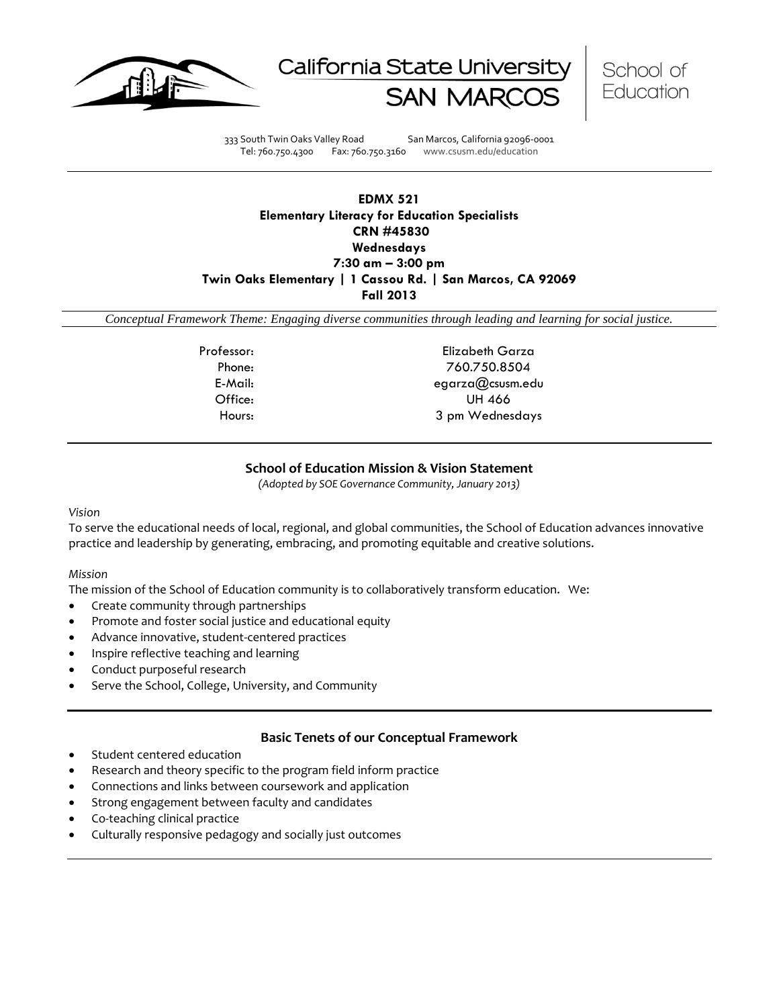





333 South Twin Oaks Valley Road San Marcos, California 92096-0001 Tel: 760.750.4300 Fax: 760.750.3160 www.csusm.edu/education

# **EDMX 521 Elementary Literacy for Education Specialists CRN #45830 Wednesdays 7:30 am – 3:00 pm Twin Oaks Elementary | 1 Cassou Rd. | San Marcos, CA 92069 Fall 2013**

*Conceptual Framework Theme: Engaging diverse communities through leading and learning for social justice.*

Professor: Elizabeth Garza Phone: 760.750.8504 E-Mail: egarza@csusm.edu Office: UH 466 Hours: 3 pm Wednesdays

# **School of Education Mission & Vision Statement**

*(Adopted by SOE Governance Community, January 2013)*

#### *Vision*

To serve the educational needs of local, regional, and global communities, the School of Education advances innovative practice and leadership by generating, embracing, and promoting equitable and creative solutions.

#### *Mission*

The mission of the School of Education community is to collaboratively transform education. We:

- Create community through partnerships
- Promote and foster social justice and educational equity
- Advance innovative, student-centered practices
- Inspire reflective teaching and learning
- Conduct purposeful research
- Serve the School, College, University, and Community

# **Basic Tenets of our Conceptual Framework**

- Student centered education
- Research and theory specific to the program field inform practice
- Connections and links between coursework and application
- Strong engagement between faculty and candidates
- Co-teaching clinical practice
- Culturally responsive pedagogy and socially just outcomes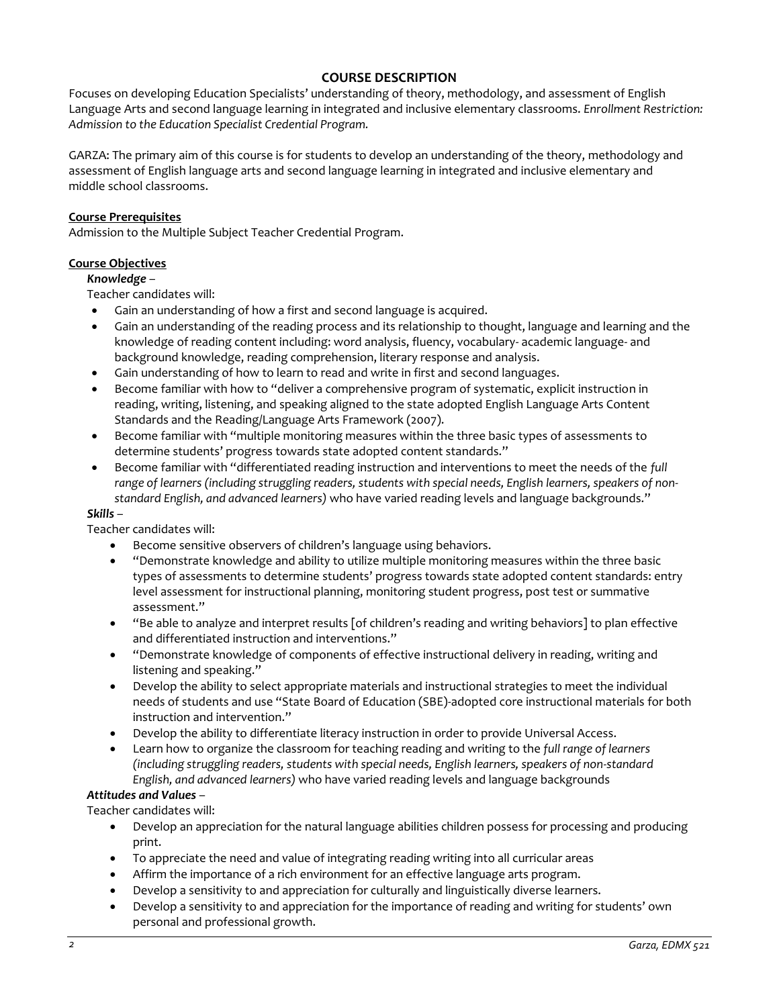# **COURSE DESCRIPTION**

Focuses on developing Education Specialists' understanding of theory, methodology, and assessment of English Language Arts and second language learning in integrated and inclusive elementary classrooms. *Enrollment Restriction: Admission to the Education Specialist Credential Program.*

GARZA: The primary aim of this course is for students to develop an understanding of the theory, methodology and assessment of English language arts and second language learning in integrated and inclusive elementary and middle school classrooms.

# **Course Prerequisites**

Admission to the Multiple Subject Teacher Credential Program.

# **Course Objectives**

# *Knowledge* –

Teacher candidates will:

- Gain an understanding of how a first and second language is acquired.
- Gain an understanding of the reading process and its relationship to thought, language and learning and the knowledge of reading content including: word analysis, fluency, vocabulary- academic language- and background knowledge, reading comprehension, literary response and analysis.
- Gain understanding of how to learn to read and write in first and second languages.
- Become familiar with how to "deliver a comprehensive program of systematic, explicit instruction in reading, writing, listening, and speaking aligned to the state adopted English Language Arts Content Standards and the Reading/Language Arts Framework (2007).
- Become familiar with "multiple monitoring measures within the three basic types of assessments to determine students' progress towards state adopted content standards."
- Become familiar with "differentiated reading instruction and interventions to meet the needs of the *full range of learners (including struggling readers, students with special needs, English learners, speakers of nonstandard English, and advanced learners)* who have varied reading levels and language backgrounds."

# *Skills* –

Teacher candidates will:

- Become sensitive observers of children's language using behaviors.
- "Demonstrate knowledge and ability to utilize multiple monitoring measures within the three basic types of assessments to determine students' progress towards state adopted content standards: entry level assessment for instructional planning, monitoring student progress, post test or summative assessment."
- "Be able to analyze and interpret results [of children's reading and writing behaviors] to plan effective and differentiated instruction and interventions."
- "Demonstrate knowledge of components of effective instructional delivery in reading, writing and listening and speaking."
- Develop the ability to select appropriate materials and instructional strategies to meet the individual needs of students and use "State Board of Education (SBE)-adopted core instructional materials for both instruction and intervention."
- Develop the ability to differentiate literacy instruction in order to provide Universal Access.
- Learn how to organize the classroom for teaching reading and writing to the *full range of learners (including struggling readers, students with special needs, English learners, speakers of non-standard English, and advanced learners)* who have varied reading levels and language backgrounds

# *Attitudes and Values* –

Teacher candidates will:

- Develop an appreciation for the natural language abilities children possess for processing and producing print.
- To appreciate the need and value of integrating reading writing into all curricular areas
- Affirm the importance of a rich environment for an effective language arts program.
- Develop a sensitivity to and appreciation for culturally and linguistically diverse learners.
- Develop a sensitivity to and appreciation for the importance of reading and writing for students' own personal and professional growth.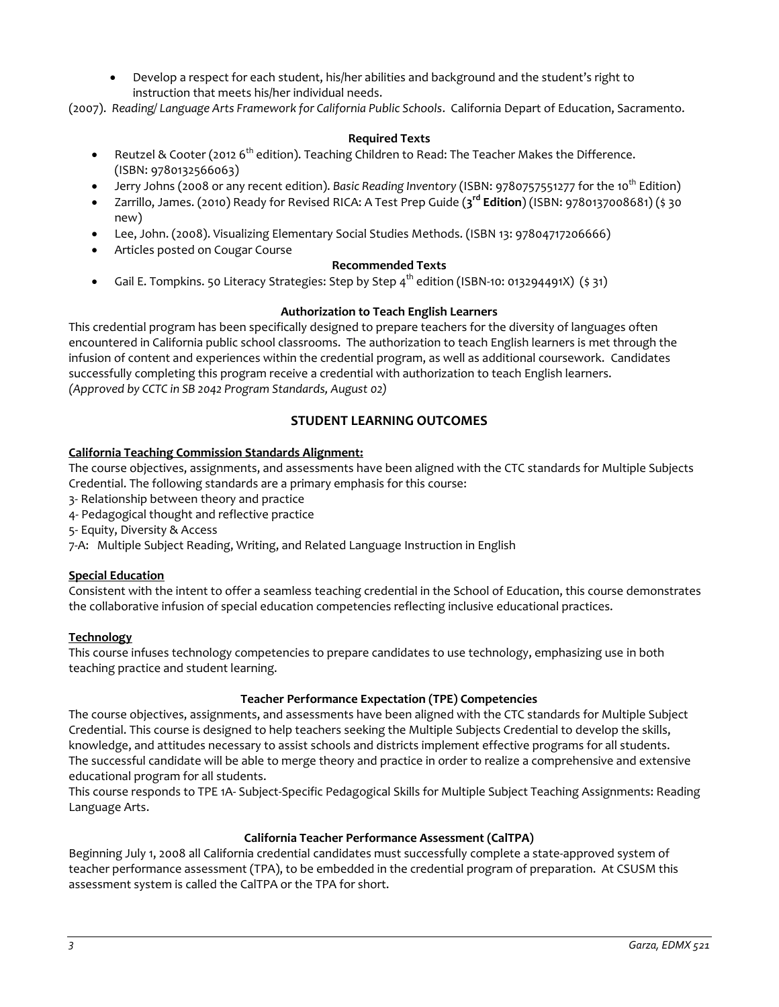Develop a respect for each student, his/her abilities and background and the student's right to instruction that meets his/her individual needs.

(2007). *Reading/ Language Arts Framework for California Public Schools*. California Depart of Education, Sacramento.

# **Required Texts**

- Reutzel & Cooter (2012 6<sup>th</sup> edition). Teaching Children to Read: The Teacher Makes the Difference. (ISBN: 9780132566063)
- Jerry Johns (2008 or any recent edition). *Basic Reading Inventory* (ISBN: 9780757551277 for the 10<sup>th</sup> Edition)
- Zarrillo, James. (2010) Ready for Revised RICA: A Test Prep Guide (**3 rd Edition**) (ISBN: 9780137008681) (\$ 30 new)
- Lee, John. (2008). Visualizing Elementary Social Studies Methods. (ISBN 13: 97804717206666)
- Articles posted on Cougar Course

# **Recommended Texts**

Gail E. Tompkins. 50 Literacy Strategies: Step by Step  $4^{th}$  edition (ISBN-10: 013294491X) (\$ 31)

# **Authorization to Teach English Learners**

This credential program has been specifically designed to prepare teachers for the diversity of languages often encountered in California public school classrooms. The authorization to teach English learners is met through the infusion of content and experiences within the credential program, as well as additional coursework. Candidates successfully completing this program receive a credential with authorization to teach English learners. *(Approved by CCTC in SB 2042 Program Standards, August 02)*

# **STUDENT LEARNING OUTCOMES**

# **California Teaching Commission Standards Alignment:**

The course objectives, assignments, and assessments have been aligned with the CTC standards for Multiple Subjects Credential. The following standards are a primary emphasis for this course:

- 3- Relationship between theory and practice
- 4- Pedagogical thought and reflective practice
- 5- Equity, Diversity & Access
- 7-A: Multiple Subject Reading, Writing, and Related Language Instruction in English

# **Special Education**

Consistent with the intent to offer a seamless teaching credential in the School of Education, this course demonstrates the collaborative infusion of special education competencies reflecting inclusive educational practices.

# **Technology**

This course infuses technology competencies to prepare candidates to use technology, emphasizing use in both teaching practice and student learning.

# **Teacher Performance Expectation (TPE) Competencies**

The course objectives, assignments, and assessments have been aligned with the CTC standards for Multiple Subject Credential. This course is designed to help teachers seeking the Multiple Subjects Credential to develop the skills, knowledge, and attitudes necessary to assist schools and districts implement effective programs for all students. The successful candidate will be able to merge theory and practice in order to realize a comprehensive and extensive educational program for all students.

This course responds to TPE 1A- Subject-Specific Pedagogical Skills for Multiple Subject Teaching Assignments: Reading Language Arts.

# **California Teacher Performance Assessment (CalTPA)**

Beginning July 1, 2008 all California credential candidates must successfully complete a state-approved system of teacher performance assessment (TPA), to be embedded in the credential program of preparation. At CSUSM this assessment system is called the CalTPA or the TPA for short.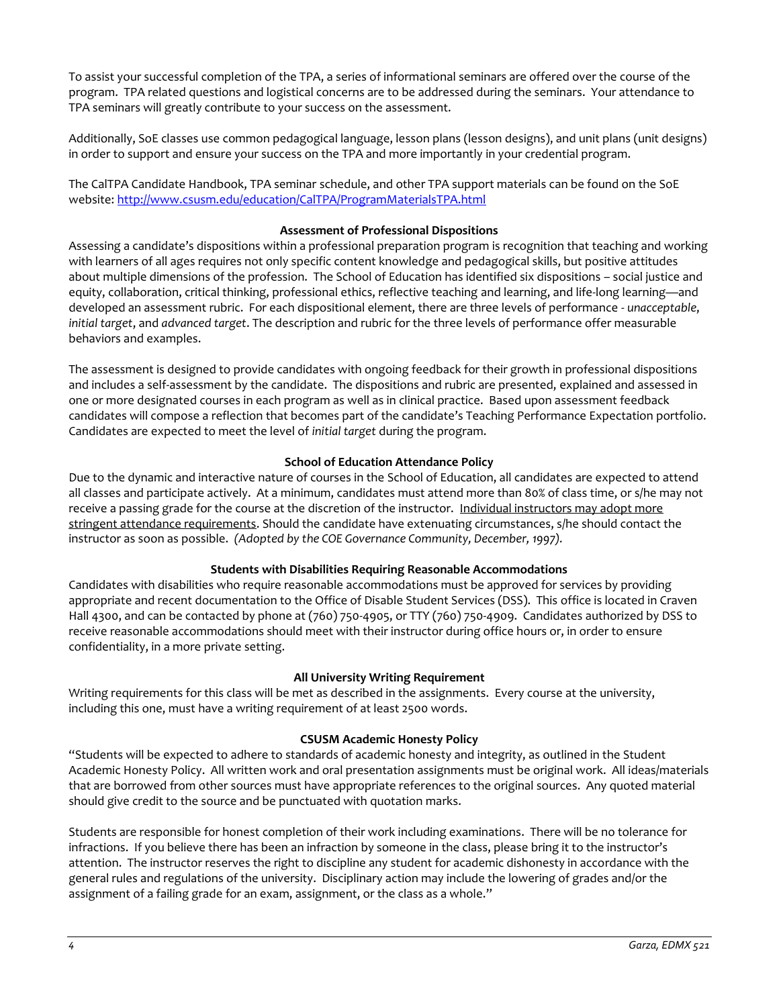To assist your successful completion of the TPA, a series of informational seminars are offered over the course of the program. TPA related questions and logistical concerns are to be addressed during the seminars. Your attendance to TPA seminars will greatly contribute to your success on the assessment.

Additionally, SoE classes use common pedagogical language, lesson plans (lesson designs), and unit plans (unit designs) in order to support and ensure your success on the TPA and more importantly in your credential program.

The CalTPA Candidate Handbook, TPA seminar schedule, and other TPA support materials can be found on the SoE website: <http://www.csusm.edu/education/CalTPA/ProgramMaterialsTPA.html>

### **Assessment of Professional Dispositions**

Assessing a candidate's dispositions within a professional preparation program is recognition that teaching and working with learners of all ages requires not only specific content knowledge and pedagogical skills, but positive attitudes about multiple dimensions of the profession. The School of Education has identified six dispositions – social justice and equity, collaboration, critical thinking, professional ethics, reflective teaching and learning, and life-long learning—and developed an assessment rubric. For each dispositional element, there are three levels of performance - *unacceptable*, *initial target*, and *advanced target*. The description and rubric for the three levels of performance offer measurable behaviors and examples.

The assessment is designed to provide candidates with ongoing feedback for their growth in professional dispositions and includes a self-assessment by the candidate. The dispositions and rubric are presented, explained and assessed in one or more designated courses in each program as well as in clinical practice. Based upon assessment feedback candidates will compose a reflection that becomes part of the candidate's Teaching Performance Expectation portfolio. Candidates are expected to meet the level of *initial target* during the program.

### **School of Education Attendance Policy**

Due to the dynamic and interactive nature of courses in the School of Education, all candidates are expected to attend all classes and participate actively. At a minimum, candidates must attend more than 80% of class time, or s/he may not receive a passing grade for the course at the discretion of the instructor. Individual instructors may adopt more stringent attendance requirements. Should the candidate have extenuating circumstances, s/he should contact the instructor as soon as possible. *(Adopted by the COE Governance Community, December, 1997).*

# **Students with Disabilities Requiring Reasonable Accommodations**

Candidates with disabilities who require reasonable accommodations must be approved for services by providing appropriate and recent documentation to the Office of Disable Student Services (DSS). This office is located in Craven Hall 4300, and can be contacted by phone at (760) 750-4905, or TTY (760) 750-4909. Candidates authorized by DSS to receive reasonable accommodations should meet with their instructor during office hours or, in order to ensure confidentiality, in a more private setting.

#### **All University Writing Requirement**

Writing requirements for this class will be met as described in the assignments. Every course at the university, including this one, must have a writing requirement of at least 2500 words.

#### **CSUSM Academic Honesty Policy**

"Students will be expected to adhere to standards of academic honesty and integrity, as outlined in the Student Academic Honesty Policy. All written work and oral presentation assignments must be original work. All ideas/materials that are borrowed from other sources must have appropriate references to the original sources. Any quoted material should give credit to the source and be punctuated with quotation marks.

Students are responsible for honest completion of their work including examinations. There will be no tolerance for infractions. If you believe there has been an infraction by someone in the class, please bring it to the instructor's attention. The instructor reserves the right to discipline any student for academic dishonesty in accordance with the general rules and regulations of the university. Disciplinary action may include the lowering of grades and/or the assignment of a failing grade for an exam, assignment, or the class as a whole."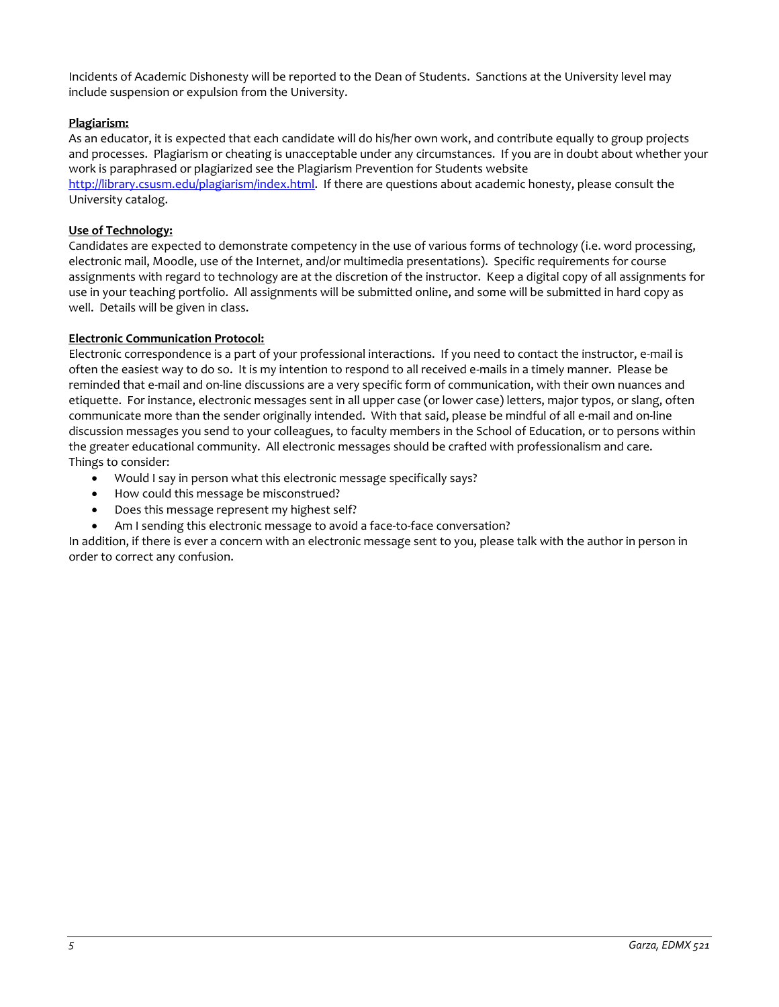Incidents of Academic Dishonesty will be reported to the Dean of Students. Sanctions at the University level may include suspension or expulsion from the University.

# **Plagiarism:**

As an educator, it is expected that each candidate will do his/her own work, and contribute equally to group projects and processes. Plagiarism or cheating is unacceptable under any circumstances. If you are in doubt about whether your work is paraphrased or plagiarized see the Plagiarism Prevention for Students website

[http://library.csusm.edu/plagiarism/index.html.](http://library.csusm.edu/plagiarism/index.html) If there are questions about academic honesty, please consult the University catalog.

# **Use of Technology:**

Candidates are expected to demonstrate competency in the use of various forms of technology (i.e. word processing, electronic mail, Moodle, use of the Internet, and/or multimedia presentations). Specific requirements for course assignments with regard to technology are at the discretion of the instructor. Keep a digital copy of all assignments for use in your teaching portfolio. All assignments will be submitted online, and some will be submitted in hard copy as well. Details will be given in class.

# **Electronic Communication Protocol:**

Electronic correspondence is a part of your professional interactions. If you need to contact the instructor, e-mail is often the easiest way to do so. It is my intention to respond to all received e-mails in a timely manner. Please be reminded that e-mail and on-line discussions are a very specific form of communication, with their own nuances and etiquette. For instance, electronic messages sent in all upper case (or lower case) letters, major typos, or slang, often communicate more than the sender originally intended. With that said, please be mindful of all e-mail and on-line discussion messages you send to your colleagues, to faculty members in the School of Education, or to persons within the greater educational community. All electronic messages should be crafted with professionalism and care. Things to consider:

- Would I say in person what this electronic message specifically says?
- How could this message be misconstrued?
- Does this message represent my highest self?
- Am I sending this electronic message to avoid a face-to-face conversation?

In addition, if there is ever a concern with an electronic message sent to you, please talk with the author in person in order to correct any confusion.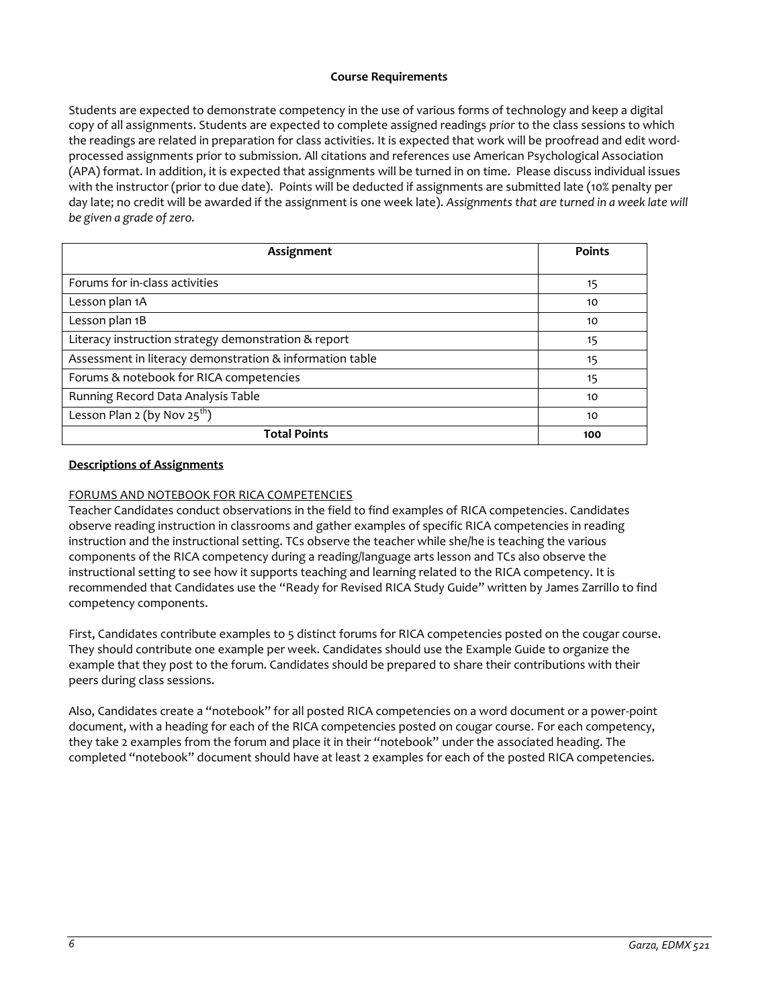# **Course Requirements**

Students are expected to demonstrate competency in the use of various forms of technology and keep a digital copy of all assignments. Students are expected to complete assigned readings *prior* to the class sessions to which the readings are related in preparation for class activities. It is expected that work will be proofread and edit wordprocessed assignments prior to submission. All citations and references use American Psychological Association (APA) format. In addition, it is expected that assignments will be turned in on time. Please discuss individual issues with the instructor (prior to due date). Points will be deducted if assignments are submitted late (10% penalty per day late; no credit will be awarded if the assignment is one week late). *Assignments that are turned in a week late will be given a grade of zero.*

| Assignment                                               | <b>Points</b> |
|----------------------------------------------------------|---------------|
| Forums for in-class activities                           | 15            |
| Lesson plan 1A                                           | 10            |
| Lesson plan 1B                                           | 10            |
| Literacy instruction strategy demonstration & report     | 15            |
| Assessment in literacy demonstration & information table | 15            |
| Forums & notebook for RICA competencies                  | 15            |
| Running Record Data Analysis Table                       | 10            |
| Lesson Plan 2 (by Nov $25^{th}$ )                        | 10            |
| <b>Total Points</b>                                      | 100           |

# **Descriptions of Assignments**

# FORUMS AND NOTEBOOK FOR RICA COMPETENCIES

Teacher Candidates conduct observations in the field to find examples of RICA competencies. Candidates observe reading instruction in classrooms and gather examples of specific RICA competencies in reading instruction and the instructional setting. TCs observe the teacher while she/he is teaching the various components of the RICA competency during a reading/language arts lesson and TCs also observe the instructional setting to see how it supports teaching and learning related to the RICA competency. It is recommended that Candidates use the "Ready for Revised RICA Study Guide" written by James Zarrillo to find competency components.

First, Candidates contribute examples to 5 distinct forums for RICA competencies posted on the cougar course. They should contribute one example per week. Candidates should use the Example Guide to organize the example that they post to the forum. Candidates should be prepared to share their contributions with their peers during class sessions.

Also, Candidates create a "notebook" for all posted RICA competencies on a word document or a power-point document, with a heading for each of the RICA competencies posted on cougar course. For each competency, they take 2 examples from the forum and place it in their "notebook" under the associated heading. The completed "notebook" document should have at least 2 examples for each of the posted RICA competencies.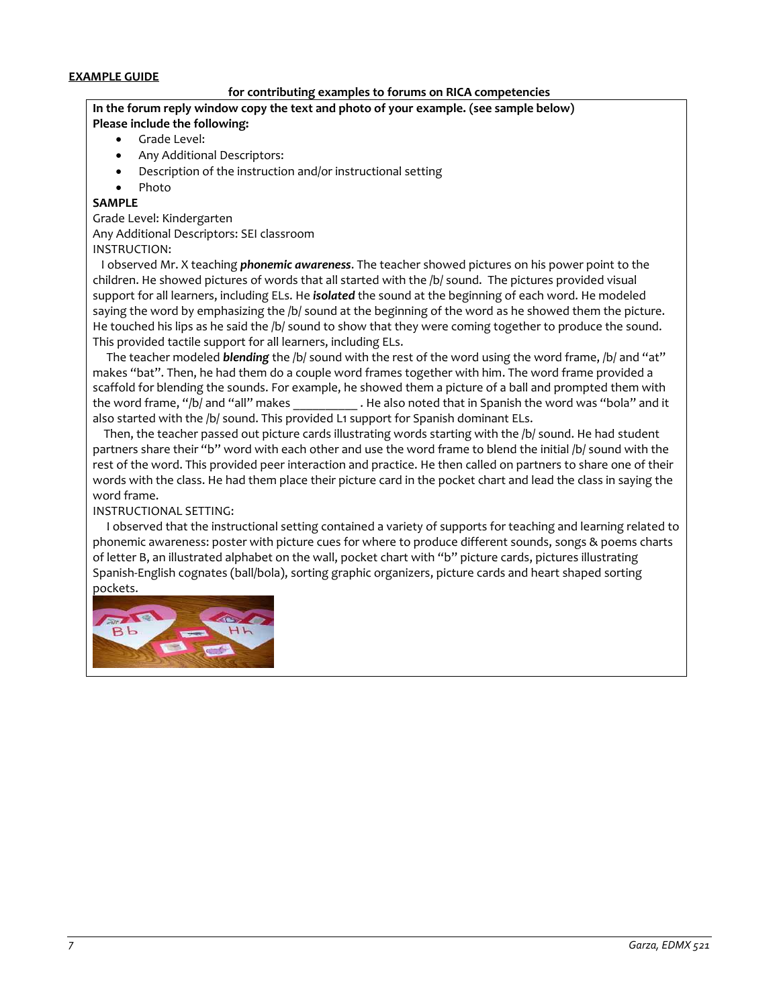# **EXAMPLE GUIDE**

# **for contributing examples to forums on RICA competencies**

### **In the forum reply window copy the text and photo of your example. (see sample below) Please include the following:**

- Grade Level:
- Any Additional Descriptors:
- Description of the instruction and/or instructional setting
- Photo

# **SAMPLE**

Grade Level: Kindergarten Any Additional Descriptors: SEI classroom

INSTRUCTION:

 I observed Mr. X teaching *phonemic awareness*. The teacher showed pictures on his power point to the children. He showed pictures of words that all started with the /b/ sound. The pictures provided visual support for all learners, including ELs. He *isolated* the sound at the beginning of each word. He modeled saying the word by emphasizing the /b/ sound at the beginning of the word as he showed them the picture. He touched his lips as he said the /b/ sound to show that they were coming together to produce the sound. This provided tactile support for all learners, including ELs.

 The teacher modeled *blending* the /b/ sound with the rest of the word using the word frame, /b/ and "at" makes "bat". Then, he had them do a couple word frames together with him. The word frame provided a scaffold for blending the sounds. For example, he showed them a picture of a ball and prompted them with the word frame, "/b/ and "all" makes . He also noted that in Spanish the word was "bola" and it also started with the /b/ sound. This provided L1 support for Spanish dominant ELs.

 Then, the teacher passed out picture cards illustrating words starting with the /b/ sound. He had student partners share their "b" word with each other and use the word frame to blend the initial /b/ sound with the rest of the word. This provided peer interaction and practice. He then called on partners to share one of their words with the class. He had them place their picture card in the pocket chart and lead the class in saying the word frame.

# INSTRUCTIONAL SETTING:

 I observed that the instructional setting contained a variety of supports for teaching and learning related to phonemic awareness: poster with picture cues for where to produce different sounds, songs & poems charts of letter B, an illustrated alphabet on the wall, pocket chart with "b" picture cards, pictures illustrating Spanish-English cognates (ball/bola), sorting graphic organizers, picture cards and heart shaped sorting pockets.

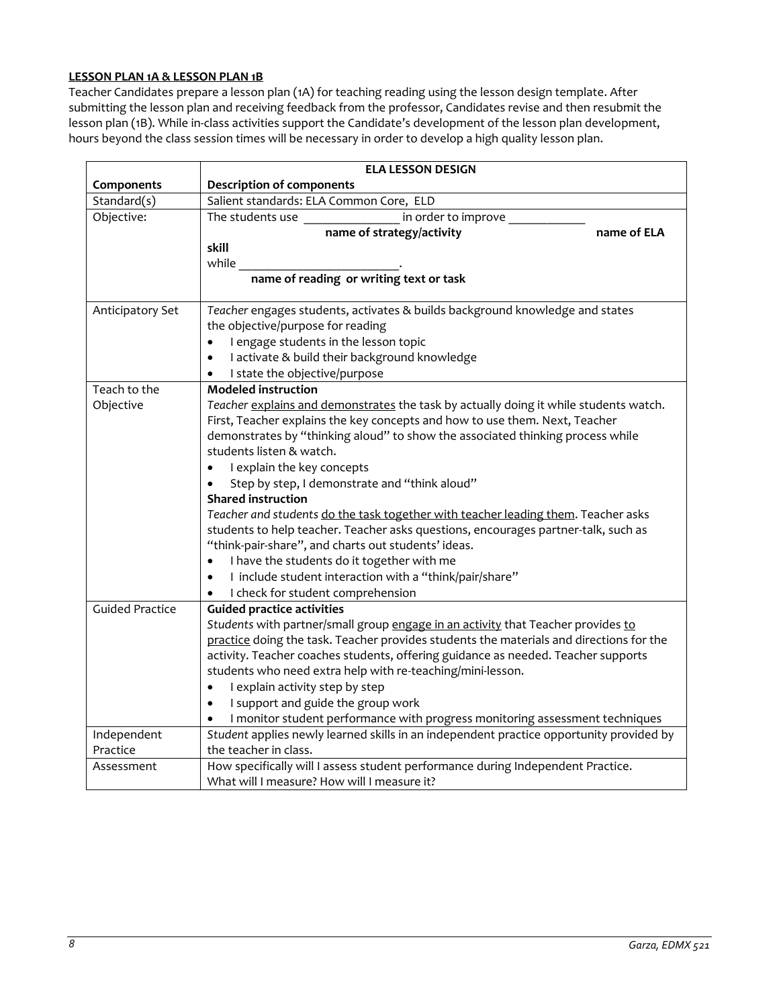# **LESSON PLAN 1A & LESSON PLAN 1B**

Teacher Candidates prepare a lesson plan (1A) for teaching reading using the lesson design template. After submitting the lesson plan and receiving feedback from the professor, Candidates revise and then resubmit the lesson plan (1B). While in-class activities support the Candidate's development of the lesson plan development, hours beyond the class session times will be necessary in order to develop a high quality lesson plan.

|                        | <b>ELA LESSON DESIGN</b>                                                                  |  |  |
|------------------------|-------------------------------------------------------------------------------------------|--|--|
| Components             | <b>Description of components</b>                                                          |  |  |
| Standard(s)            | Salient standards: ELA Common Core, ELD                                                   |  |  |
| Objective:             | The students use _______________<br>in order to improve                                   |  |  |
|                        | name of strategy/activity<br>name of ELA                                                  |  |  |
|                        | skill                                                                                     |  |  |
|                        | while                                                                                     |  |  |
|                        | name of reading or writing text or task                                                   |  |  |
| Anticipatory Set       | Teacher engages students, activates & builds background knowledge and states              |  |  |
|                        | the objective/purpose for reading                                                         |  |  |
|                        | I engage students in the lesson topic<br>$\bullet$                                        |  |  |
|                        | I activate & build their background knowledge<br>$\bullet$                                |  |  |
|                        | I state the objective/purpose<br>$\bullet$                                                |  |  |
| Teach to the           | <b>Modeled instruction</b>                                                                |  |  |
| Objective              | Teacher explains and demonstrates the task by actually doing it while students watch.     |  |  |
|                        | First, Teacher explains the key concepts and how to use them. Next, Teacher               |  |  |
|                        | demonstrates by "thinking aloud" to show the associated thinking process while            |  |  |
|                        | students listen & watch.                                                                  |  |  |
|                        | I explain the key concepts<br>$\bullet$                                                   |  |  |
|                        | Step by step, I demonstrate and "think aloud"                                             |  |  |
|                        | <b>Shared instruction</b>                                                                 |  |  |
|                        | Teacher and students do the task together with teacher leading them. Teacher asks         |  |  |
|                        | students to help teacher. Teacher asks questions, encourages partner-talk, such as        |  |  |
|                        | "think-pair-share", and charts out students' ideas.                                       |  |  |
|                        | I have the students do it together with me<br>$\bullet$                                   |  |  |
|                        | I include student interaction with a "think/pair/share"<br>$\bullet$                      |  |  |
|                        | I check for student comprehension<br>$\bullet$                                            |  |  |
| <b>Guided Practice</b> | <b>Guided practice activities</b>                                                         |  |  |
|                        | Students with partner/small group engage in an activity that Teacher provides to          |  |  |
|                        | practice doing the task. Teacher provides students the materials and directions for the   |  |  |
|                        | activity. Teacher coaches students, offering guidance as needed. Teacher supports         |  |  |
|                        | students who need extra help with re-teaching/mini-lesson.                                |  |  |
|                        | I explain activity step by step<br>$\bullet$                                              |  |  |
|                        | I support and guide the group work<br>$\bullet$                                           |  |  |
|                        | I monitor student performance with progress monitoring assessment techniques<br>$\bullet$ |  |  |
| Independent            | Student applies newly learned skills in an independent practice opportunity provided by   |  |  |
| Practice               | the teacher in class.                                                                     |  |  |
| Assessment             | How specifically will I assess student performance during Independent Practice.           |  |  |
|                        | What will I measure? How will I measure it?                                               |  |  |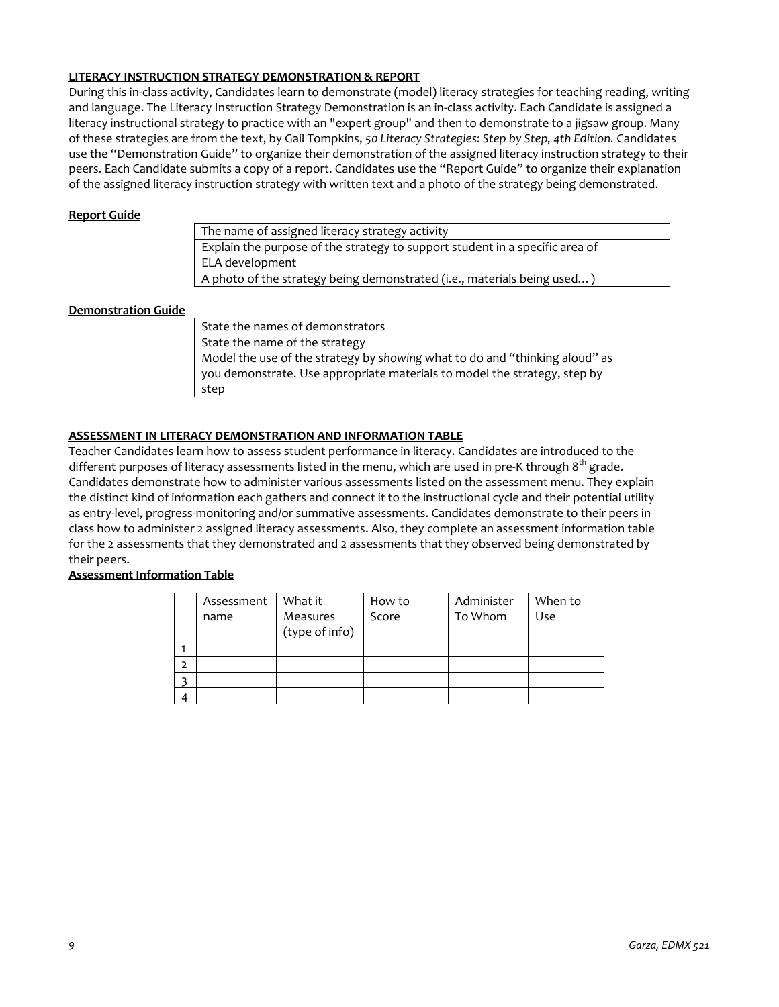# **LITERACY INSTRUCTION STRATEGY DEMONSTRATION & REPORT**

During this in-class activity, Candidates learn to demonstrate (model) literacy strategies for teaching reading, writing and language. The Literacy Instruction Strategy Demonstration is an in-class activity. Each Candidate is assigned a literacy instructional strategy to practice with an "expert group" and then to demonstrate to a jigsaw group. Many of these strategies are from the text, by Gail Tompkins, *50 Literacy Strategies: Step by Step, 4th Edition.* Candidates use the "Demonstration Guide" to organize their demonstration of the assigned literacy instruction strategy to their peers. Each Candidate submits a copy of a report. Candidates use the "Report Guide" to organize their explanation of the assigned literacy instruction strategy with written text and a photo of the strategy being demonstrated.

### **Report Guide**

The name of assigned literacy strategy activity Explain the purpose of the strategy to support student in a specific area of ELA development A photo of the strategy being demonstrated (i.e., materials being used...

### **Demonstration Guide**

State the names of demonstrators State the name of the strategy Model the use of the strategy by *showing* what to do and "thinking aloud" as you demonstrate. Use appropriate materials to model the strategy, step by step

# **ASSESSMENT IN LITERACY DEMONSTRATION AND INFORMATION TABLE**

Teacher Candidates learn how to assess student performance in literacy. Candidates are introduced to the different purposes of literacy assessments listed in the menu, which are used in pre-K through  $8<sup>th</sup>$  grade. Candidates demonstrate how to administer various assessments listed on the assessment menu. They explain the distinct kind of information each gathers and connect it to the instructional cycle and their potential utility as entry-level, progress-monitoring and/or summative assessments. Candidates demonstrate to their peers in class how to administer 2 assigned literacy assessments. Also, they complete an assessment information table for the 2 assessments that they demonstrated and 2 assessments that they observed being demonstrated by their peers.

# **Assessment Information Table**

|                | Assessment | What it        | How to | Administer | When to |
|----------------|------------|----------------|--------|------------|---------|
|                | name       | Measures       | Score  | To Whom    | Use     |
|                |            | (type of info) |        |            |         |
|                |            |                |        |            |         |
| $\overline{2}$ |            |                |        |            |         |
|                |            |                |        |            |         |
| $\Lambda$      |            |                |        |            |         |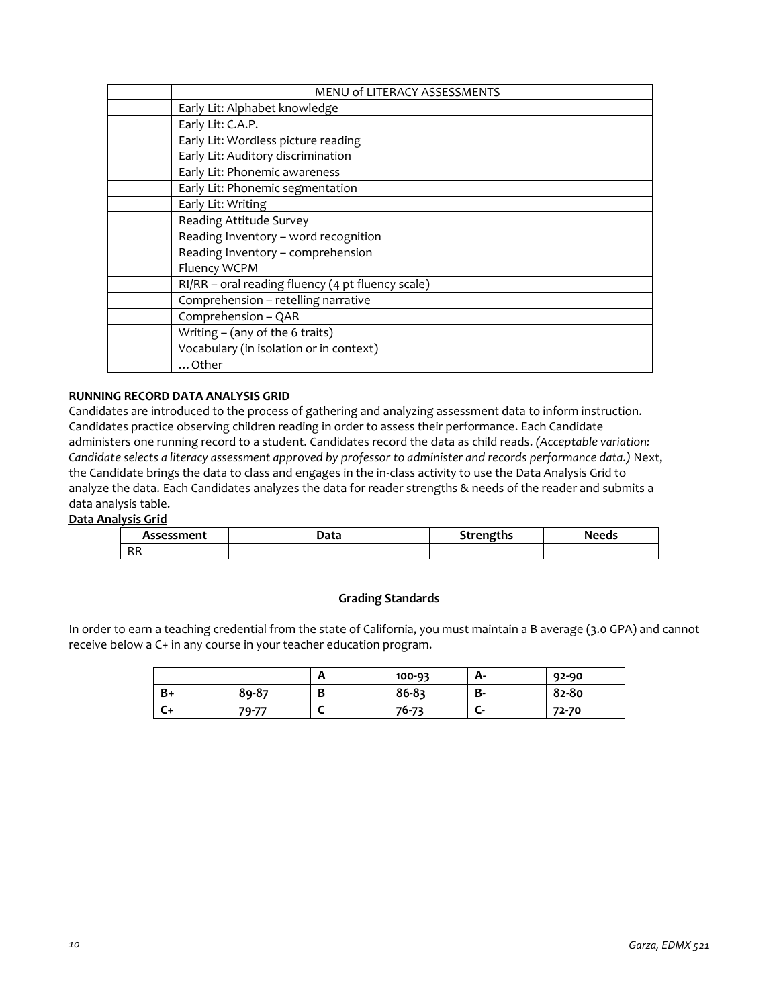| <b>MENU of LITERACY ASSESSMENTS</b>                 |
|-----------------------------------------------------|
| Early Lit: Alphabet knowledge                       |
| Early Lit: C.A.P.                                   |
| Early Lit: Wordless picture reading                 |
| Early Lit: Auditory discrimination                  |
| Early Lit: Phonemic awareness                       |
| Early Lit: Phonemic segmentation                    |
| Early Lit: Writing                                  |
| Reading Attitude Survey                             |
| Reading Inventory - word recognition                |
| Reading Inventory - comprehension                   |
| Fluency WCPM                                        |
| $RI/RR$ – oral reading fluency (4 pt fluency scale) |
| Comprehension - retelling narrative                 |
| Comprehension - QAR                                 |
| Writing $-$ (any of the 6 traits)                   |
| Vocabulary (in isolation or in context)             |
| Other                                               |

# **RUNNING RECORD DATA ANALYSIS GRID**

Candidates are introduced to the process of gathering and analyzing assessment data to inform instruction. Candidates practice observing children reading in order to assess their performance. Each Candidate administers one running record to a student. Candidates record the data as child reads. *(Acceptable variation: Candidate selects a literacy assessment approved by professor to administer and records performance data.)* Next, the Candidate brings the data to class and engages in the in-class activity to use the Data Analysis Grid to analyze the data. Each Candidates analyzes the data for reader strengths & needs of the reader and submits a data analysis table.

# **Data Analysis Grid**

| Assessment | Data | <b>Strengths</b><br>au cug | <b>Needs</b> |
|------------|------|----------------------------|--------------|
| D D<br>nn  |      |                            |              |

# **Grading Standards**

In order to earn a teaching credential from the state of California, you must maintain a B average (3.0 GPA) and cannot receive below a C+ in any course in your teacher education program.

|    |       | n      | 100-93 | А- | 92-90 |
|----|-------|--------|--------|----|-------|
| B+ | 89-87 | D<br>D | 86-83  | В- | 82-80 |
| い  | 79-77 |        | 76-73  | c  | 72-70 |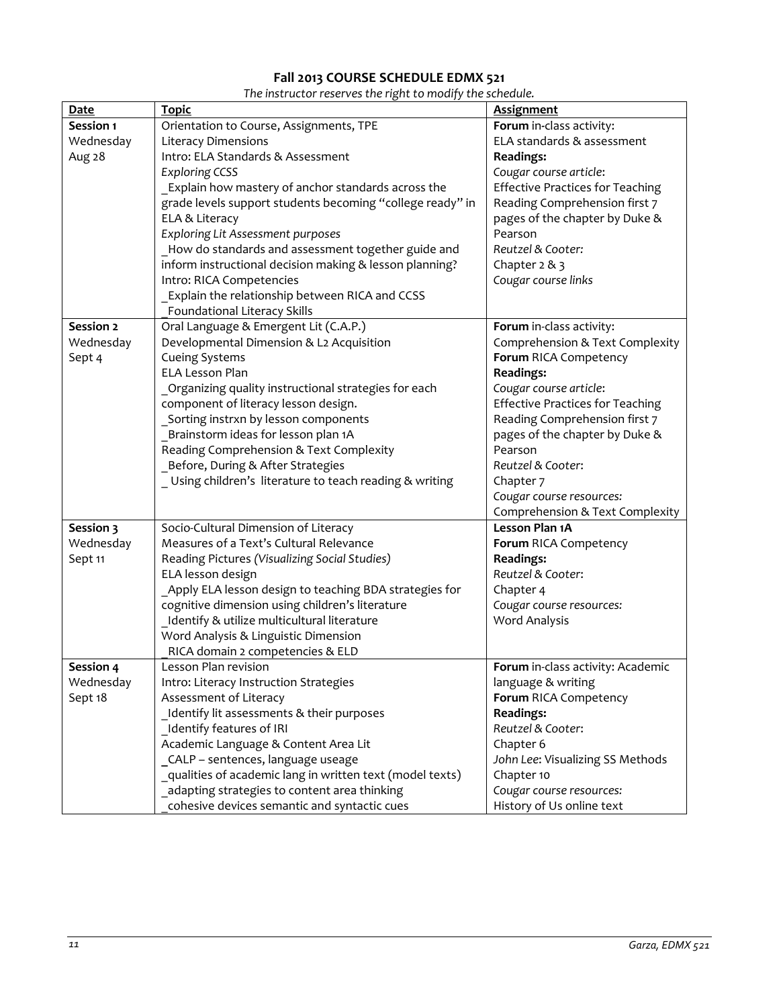# **Fall 2013 COURSE SCHEDULE EDMX 521**

| The instructor reserves the right to modify the schedule. |  |  |  |
|-----------------------------------------------------------|--|--|--|
|-----------------------------------------------------------|--|--|--|

| <b>Date</b> | <b>Topic</b>                                              | <b>Assignment</b>                       |
|-------------|-----------------------------------------------------------|-----------------------------------------|
| Session 1   | Orientation to Course, Assignments, TPE                   | Forum in-class activity:                |
| Wednesday   | <b>Literacy Dimensions</b>                                | ELA standards & assessment              |
| Aug 28      | Intro: ELA Standards & Assessment                         | <b>Readings:</b>                        |
|             | <b>Exploring CCSS</b>                                     | Cougar course article:                  |
|             | _Explain how mastery of anchor standards across the       | <b>Effective Practices for Teaching</b> |
|             | grade levels support students becoming "college ready" in | Reading Comprehension first 7           |
|             | ELA & Literacy                                            | pages of the chapter by Duke &          |
|             | Exploring Lit Assessment purposes                         | Pearson                                 |
|             | How do standards and assessment together guide and        | Reutzel & Cooter:                       |
|             | inform instructional decision making & lesson planning?   | Chapter $2 & 3$                         |
|             | Intro: RICA Competencies                                  | Cougar course links                     |
|             | Explain the relationship between RICA and CCSS            |                                         |
|             | Foundational Literacy Skills                              |                                         |
| Session 2   | Oral Language & Emergent Lit (C.A.P.)                     | Forum in-class activity:                |
| Wednesday   | Developmental Dimension & L2 Acquisition                  | Comprehension & Text Complexity         |
| Sept 4      | <b>Cueing Systems</b>                                     | Forum RICA Competency                   |
|             | <b>ELA Lesson Plan</b>                                    | <b>Readings:</b>                        |
|             | Organizing quality instructional strategies for each      | Cougar course article:                  |
|             | component of literacy lesson design.                      | <b>Effective Practices for Teaching</b> |
|             | Sorting instrxn by lesson components                      | Reading Comprehension first 7           |
|             | Brainstorm ideas for lesson plan 1A                       | pages of the chapter by Duke &          |
|             | Reading Comprehension & Text Complexity                   | Pearson                                 |
|             | Before, During & After Strategies                         | Reutzel & Cooter:                       |
|             | Using children's literature to teach reading & writing    | Chapter 7                               |
|             |                                                           | Cougar course resources:                |
|             |                                                           | Comprehension & Text Complexity         |
| Session 3   | Socio-Cultural Dimension of Literacy                      | Lesson Plan 1A                          |
| Wednesday   | Measures of a Text's Cultural Relevance                   | Forum RICA Competency                   |
| Sept 11     | Reading Pictures (Visualizing Social Studies)             | <b>Readings:</b>                        |
|             | ELA lesson design                                         | Reutzel & Cooter:                       |
|             | Apply ELA lesson design to teaching BDA strategies for    | Chapter 4                               |
|             | cognitive dimension using children's literature           | Cougar course resources:                |
|             | Identify & utilize multicultural literature               | <b>Word Analysis</b>                    |
|             | Word Analysis & Linguistic Dimension                      |                                         |
|             | RICA domain 2 competencies & ELD                          |                                         |
| Session 4   | Lesson Plan revision                                      | Forum in-class activity: Academic       |
| Wednesday   | Intro: Literacy Instruction Strategies                    | language & writing                      |
| Sept 18     | Assessment of Literacy                                    | Forum RICA Competency                   |
|             | Identify lit assessments & their purposes                 | <b>Readings:</b>                        |
|             | Identify features of IRI                                  | Reutzel & Cooter:                       |
|             | Academic Language & Content Area Lit                      | Chapter 6                               |
|             | CALP - sentences, language useage                         | John Lee: Visualizing SS Methods        |
|             | qualities of academic lang in written text (model texts)  | Chapter 10                              |
|             | adapting strategies to content area thinking              | Cougar course resources:                |
|             | cohesive devices semantic and syntactic cues              | History of Us online text               |